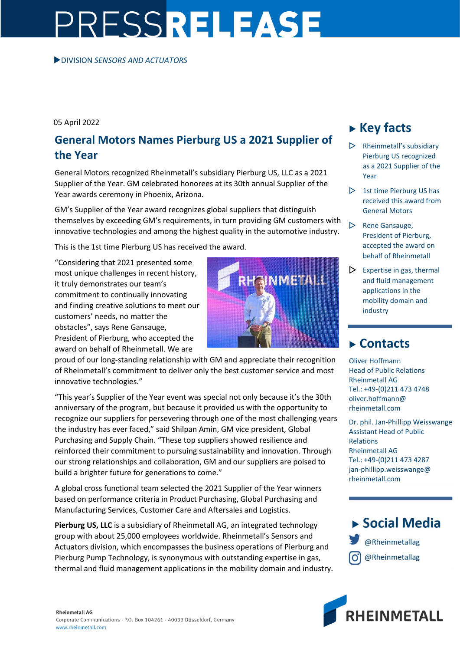## PRESSRELEASE

DIVISION *SENSORS AND ACTUATORS* 

05 April 2022

## **General Motors Names Pierburg US a 2021 Supplier of the Year**

General Motors recognized Rheinmetall's subsidiary Pierburg US, LLC as a 2021 Supplier of the Year. GM celebrated honorees at its 30th annual Supplier of the Year awards ceremony in Phoenix, Arizona.

GM's Supplier of the Year award recognizes global suppliers that distinguish themselves by exceeding GM's requirements, in turn providing GM customers with innovative technologies and among the highest quality in the automotive industry.

This is the 1st time Pierburg US has received the award.

"Considering that 2021 presented some most unique challenges in recent history, it truly demonstrates our team's commitment to continually innovating and finding creative solutions to meet our customers' needs, no matter the obstacles", says Rene Gansauge, President of Pierburg, who accepted the award on behalf of Rheinmetall. We are



proud of our long-standing relationship with GM and appreciate their recognition of Rheinmetall's commitment to deliver only the best customer service and most innovative technologies."

"This year's Supplier of the Year event was special not only because it's the 30th anniversary of the program, but because it provided us with the opportunity to recognize our suppliers for persevering through one of the most challenging years the industry has ever faced," said Shilpan Amin, GM vice president, Global Purchasing and Supply Chain. "These top suppliers showed resilience and reinforced their commitment to pursuing sustainability and innovation. Through our strong relationships and collaboration, GM and our suppliers are poised to build a brighter future for generations to come."

A global cross functional team selected the 2021 Supplier of the Year winners based on performance criteria in Product Purchasing, Global Purchasing and Manufacturing Services, Customer Care and Aftersales and Logistics.

**Pierburg US, LLC** is a subsidiary of Rheinmetall AG, an integrated technology group with about 25,000 employees worldwide. Rheinmetall's Sensors and Actuators division, which encompasses the business operations of Pierburg and Pierburg Pump Technology, is synonymous with outstanding expertise in gas, thermal and fluid management applications in the mobility domain and industry.

## **Key facts**

- $\triangleright$  Rheinmetall's subsidiary Pierburg US recognized as a 2021 Supplier of the Year
- $\triangleright$  1st time Pierburg US has received this award from General Motors
- $\triangleright$  Rene Gansauge, President of Pierburg, accepted the award on behalf of Rheinmetall
- $\triangleright$  Expertise in gas, thermal and fluid management applications in the mobility domain and industry

## **Contacts**

Oliver Hoffmann Head of Public Relations Rheinmetall AG Tel.: +49-(0)211 473 4748 oliver.hoffmann@ rheinmetall.com

Dr. phil. Jan-Phillipp Weisswange Assistant Head of Public Relations Rheinmetall AG Tel.: +49-(0)211 473 4287 jan-phillipp.weisswange@ rheinmetall.com

▶ Social Media @Rheinmetallag @Rheinmetallag